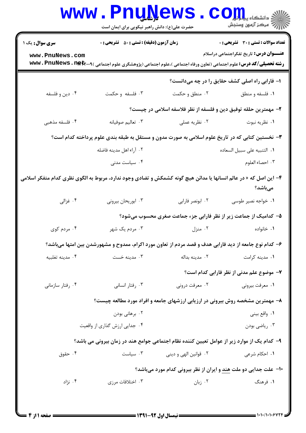|                                                                                                                   | <b>www.PnuNews</b><br>حضرت علی(ع): دانش راهبر نیکویی برای ایمان است                                                             |                                                                                | الا دانشکاه پیام اور<br>الله دانشکاه پیام اور<br>الله است        |  |  |
|-------------------------------------------------------------------------------------------------------------------|---------------------------------------------------------------------------------------------------------------------------------|--------------------------------------------------------------------------------|------------------------------------------------------------------|--|--|
| <b>سری سوال :</b> یک ۱                                                                                            | <b>زمان آزمون (دقیقه) : تستی : 50 ٪ تشریحی : 0</b>                                                                              |                                                                                | <b>تعداد سوالات : تستی : 30 ٪ تشریحی : 0</b>                     |  |  |
| www.PnuNews.com                                                                                                   | <b>رشته تحصیلی/کد درس:</b> علوم اجتماعی (تعاون ورفاه اجتماعی )،علوم اجتماعی (پژوهشگری علوم اجتماعی ) <b>www . PnuNews . net</b> |                                                                                | <b>عنــــوان درس:</b> تاریخ تفکراجتماعی دراسلام                  |  |  |
|                                                                                                                   |                                                                                                                                 |                                                                                | ا- فارابی راه اصلی کشف حقایق را در چه میدانست؟                   |  |  |
| ۰۴ دين و فلسفه                                                                                                    | ۰۳ فلسفه و حکمت                                                                                                                 | ۰۲ منطق و حکمت                                                                 | ۰۱ فلسفه و منطق                                                  |  |  |
|                                                                                                                   | ۲- مهمترین حلقه توفیق دین و فلسفه از نظر فلاسفه اسلامی در چیست؟                                                                 |                                                                                |                                                                  |  |  |
| ۰۴ فلسفه مذهبی                                                                                                    | ۰۳ تعالیم صوفیانه                                                                                                               | ۰۲ نظریه عملی                                                                  | ٠١ نظريه نبوت                                                    |  |  |
|                                                                                                                   | ۳- نخستین کتابی که در تاریخ علوم اسلامی به صورت مدون و مستقل به طبقه بندی علوم پرداخته کدام است؟                                |                                                                                |                                                                  |  |  |
|                                                                                                                   | ۰۲ آراء اهل مدينه فاضله                                                                                                         |                                                                                | ٠١. التنبيه على سبيل السعاده                                     |  |  |
|                                                                                                                   | ۰۴ سیاست مدنی                                                                                                                   |                                                                                | ۰۳ احصاء العلوم                                                  |  |  |
| ۴– این اصل که « در عالم انسانها یا مدائن هیچ گونه کشمکش و تضادی وجود ندارد، مربوط به الگوی نظری کدام متفکر اسلامی |                                                                                                                                 |                                                                                | مىباشد؟                                                          |  |  |
| ۰۴ غزالی                                                                                                          | ۰۳ ابوریحان بیرونی                                                                                                              | ٠٢ ابونصر فارابي                                                               | ۰۱ خواجه نصير طوسي                                               |  |  |
|                                                                                                                   |                                                                                                                                 | ۵– کدامیک از جماعت زیر از نظر فارابی جزء جماعت صغری محسوب میشود؟               |                                                                  |  |  |
| ۰۴ مردم کوی                                                                                                       | ۰۳ مردم یک شهر                                                                                                                  | ۰۲ منزل                                                                        | ۰۱ خانواده                                                       |  |  |
|                                                                                                                   | ۶- کدام نوع جامعه از دید فارابی هدف و قصد مردم از تعاون مورد اکرام، ممدوح و مشهورشدن بین امتها میباشد؟                          |                                                                                |                                                                  |  |  |
| ۰۴ مدينه تغلبيه                                                                                                   | ۰۳ مدینه خست                                                                                                                    | ۰۲ مدينه بداله                                                                 | ۰۱ مدينه كرامت                                                   |  |  |
|                                                                                                                   |                                                                                                                                 |                                                                                | ۷- موضوع علم مدنی از نظر فارابی کدام است؟                        |  |  |
| ۰۴ رفتار سازمانی                                                                                                  | ۰۳ رفتار انسانی                                                                                                                 | ۰۲ معرفت درونی                                                                 | ۰۱ معرفت بیرونی                                                  |  |  |
|                                                                                                                   |                                                                                                                                 | ۸– مهمترین مشخصه روش بیرونی در ارزیابی ارزشهای جامعه و افراد مورد مطالعه چیست؟ |                                                                  |  |  |
|                                                                                                                   | ۰۲ برهانی بودن                                                                                                                  |                                                                                | ١. واقع بيني                                                     |  |  |
|                                                                                                                   | ۰۴ جدایی ارزش گذاری از واقعیت                                                                                                   |                                                                                | ۰۳ رياضي بودن                                                    |  |  |
|                                                                                                                   | ۹– کدام یک از موارد زیر از عوامل تعیین کننده نظام اجتماعی جوامع هند در زمان بیرونی می باشد؟                                     |                                                                                |                                                                  |  |  |
| ۰۴ حقوق                                                                                                           | ۰۳ سیاست $\cdot$                                                                                                                | ۰۲ قوانین الهی و دینی                                                          | ۰۱ احکام شرعی                                                    |  |  |
|                                                                                                                   |                                                                                                                                 |                                                                                | ∙ا− علت جدایی دو ملت هند و ایران از نظر بیرونی کدام مورد میباشد؟ |  |  |
| ۰۴ نژاد                                                                                                           | ۰۳ اختلافات مرزی                                                                                                                | ۰۲ زبان                                                                        | ۱. فرهنگ                                                         |  |  |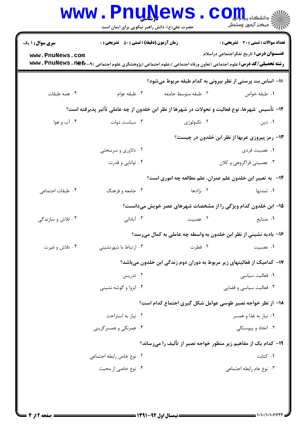| <b>زمان آزمون (دقیقه) : تستی : 50 ٪ تشریحی : 0</b><br><b>تعداد سوالات : تستی : 30 ٪ تشریحی : 0</b><br><b>سری سوال : ۱ یک</b>                                                                         |  |  |  |  |  |  |
|------------------------------------------------------------------------------------------------------------------------------------------------------------------------------------------------------|--|--|--|--|--|--|
| <b>عنـــوان درس:</b> تاریخ تفکراجتماعی دراسلام<br>www.PnuNews.com<br><b>رشته تحصیلی/کد درس:</b> علوم اجتماعی (تعاون ورفاه اجتماعی )،علوم اجتماعی (پژوهشگری علوم اجتماعی ) <b>www . PnuNews . net</b> |  |  |  |  |  |  |
| 11– اساس بت پرستی از نظر بیرونی به کدام طبقه مربوط میشود؟                                                                                                                                            |  |  |  |  |  |  |
| ۰۴ همه طبقات<br>۰۳ طبقه عوام<br>٠٢ طبقه متوسط جامعه<br>٠١. طبقه خواص                                                                                                                                 |  |  |  |  |  |  |
| 1۲– تأسیس ًشهرها، نوع فعالیت و تحولات در شهرها از نظر ابن خلدون از چه عاملی تأثیر پذیرفته است؟                                                                                                       |  |  |  |  |  |  |
| ۰۴ آب و هوا<br>۰۲ تکنولوژی<br>۰۳ سیاست دولت<br>۰۱ دین                                                                                                                                                |  |  |  |  |  |  |
| <b>۱۳</b> - رمز پیروزی عربها از نظر ابن خلدون در چیست؟                                                                                                                                               |  |  |  |  |  |  |
| ۰۲ دلاوری و سرسختی<br>۰۱ عصبيت فردي                                                                                                                                                                  |  |  |  |  |  |  |
| ۰۴ توانایی و قدرت<br>۰۳ عصبیتی فراگروهی و کلان                                                                                                                                                       |  |  |  |  |  |  |
| ۱۴-۔ به تعبیر ابن خلدون علم عمران، علم مطالعه چه اموری است؟                                                                                                                                          |  |  |  |  |  |  |
| ۰۴ طبقات اجتماعی<br>۰۳ جامعه و فرهنگ<br>۰۲ نژادها<br>۰۱ تمدنها                                                                                                                                       |  |  |  |  |  |  |
| 1۵- ابن خلدون کدام ویژگی را از مشخصات شهرهای عصر خویش میدانست؟                                                                                                                                       |  |  |  |  |  |  |
| ۰۴ تلاش و سازندگی<br>۰۳ آبادانی<br>۰۲ عصبیت<br>۰۱ صنایع                                                                                                                                              |  |  |  |  |  |  |
| ۱۶- بادیه نشینی از نظر ابن خلدون به واسطه چه عاملی به کمال میرسد؟                                                                                                                                    |  |  |  |  |  |  |
| ۰۲ فطرت<br>۰۴ تلاش و غیرت<br>۰۳ ارتباط با شهرنشینی<br>۰۱ عصبيت                                                                                                                                       |  |  |  |  |  |  |
| ۱۷– کدامیک از فعالیتهای زیر مربوط به دوران دوم زندگی ابن خلدون میباشد؟                                                                                                                               |  |  |  |  |  |  |
| ٠١ فعاليت سياسي<br>۰۲ تدریس                                                                                                                                                                          |  |  |  |  |  |  |
| ۰۳ فعالیت سیاسی و قضایی<br>۰۴ انزوا و گوشه نشینی                                                                                                                                                     |  |  |  |  |  |  |
| ۱۸– از نظر خواجه نصیر طوسی عوامل شکل گیری اجتماع کدام است؟                                                                                                                                           |  |  |  |  |  |  |
| ۰۲ نیاز به استراحت<br>۰۱ نیاز به غذا و همسر                                                                                                                                                          |  |  |  |  |  |  |
| ۰۴ همرنگی و همسر گزینی<br>۰۳ اتحاد و پیوستگی                                                                                                                                                         |  |  |  |  |  |  |
| ۱۹- کدام یک از مفاهیم زیر منظور خواجه نصیر از تألیف را میرساند؟                                                                                                                                      |  |  |  |  |  |  |
| ۰۱ کتابت<br>۰۲ نوع خاص رابطه اجتماعی                                                                                                                                                                 |  |  |  |  |  |  |
| ۰۴ نوع خاصی از محبت<br>۰۳ نوع عام رابطه اجتماعی                                                                                                                                                      |  |  |  |  |  |  |
|                                                                                                                                                                                                      |  |  |  |  |  |  |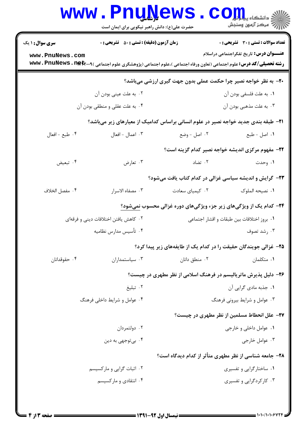|                                                                                            | www.PnuNews<br>حضرت علی(ع): دانش راهبر نیکویی برای ایمان است |                               | ن دانشگاه پیابانی <mark>C O</mark><br>/// مرکز آزمون وسنجش                                                                                                                        |  |  |
|--------------------------------------------------------------------------------------------|--------------------------------------------------------------|-------------------------------|-----------------------------------------------------------------------------------------------------------------------------------------------------------------------------------|--|--|
| <b>سری سوال : ۱ یک</b>                                                                     | <b>زمان آزمون (دقیقه) : تستی : 50 ٪ تشریحی : 0</b>           |                               | تعداد سوالات : تستى : 30 ٪ تشريحي : 0                                                                                                                                             |  |  |
| www.PnuNews.com                                                                            |                                                              |                               | <b>عنـــوان درس:</b> تاریخ تفکراجتماعی دراسلام<br><b>رشته تحصیلی/کد درس:</b> علوم اجتماعی (تعاون ورفاه اجتماعی )،علوم اجتماعی (پژوهشگری علوم اجتماعی ) <b>www . PnuNews . net</b> |  |  |
|                                                                                            |                                                              |                               | +۲- به نظر خواجه نصیر چرا حکمت عملی بدون جهت گیری ارزشی میباشد؟                                                                                                                   |  |  |
|                                                                                            | ۰۲ به علت عینی بودن آن                                       |                               | ٠١. به علت فلسفي بودن آن                                                                                                                                                          |  |  |
| ۰۴ به علت عقلی و منطقی بودن آن                                                             |                                                              |                               | ۰۳ به علت مذهبي بودن آن                                                                                                                                                           |  |  |
| <b>۲۱</b> - طبقه بندی جدید خواجه نصیر در علوم انسانی براساس کدامیک از معیارهای زیر میباشد؟ |                                                              |                               |                                                                                                                                                                                   |  |  |
| ۰۴ طبع - افعال                                                                             | ۰۳ اعمال - افعال                                             | ۰۲ اصل - وضع                  | ٠١ اصل - طبع                                                                                                                                                                      |  |  |
|                                                                                            |                                                              |                               | ۲۲- مفهوم مرکزی اندیشه خواجه نصیر کدام گزینه است؟                                                                                                                                 |  |  |
| ۰۴ تبعیض                                                                                   | ۰۳ تعارض                                                     | ۰۲ تضاد                       | ۰۱ وحدت                                                                                                                                                                           |  |  |
|                                                                                            |                                                              |                               | ۲۳- گرایش و اندیشه سیاسی غزالی در کدام کتاب یافت میشود؟                                                                                                                           |  |  |
| ۰۴ مفصل الخلاف                                                                             | ۰۳ مصفاه الاسرار                                             | ٠٢ كيمياى سعادت               | ٠١. نصيحه الملوک                                                                                                                                                                  |  |  |
|                                                                                            |                                                              |                               | <b>34</b> - کدام یک از ویژگیهای زیر جزء ویژگیهای دوره غزالی محسوب نمیشود؟                                                                                                         |  |  |
| ۰۲ کاهش یافتن اختلافات دینی و فرقهای<br>٠١. بروز اختلافات بين طبقات و اقشار اجتماعي        |                                                              |                               |                                                                                                                                                                                   |  |  |
|                                                                                            | ۰۴ تأسیس مدارس نظامیه                                        |                               | ۰۳ رشد تصوف                                                                                                                                                                       |  |  |
|                                                                                            |                                                              |                               | ۲۵- غزالی جویندگان حقیقت را در کدام یک از طایفههای زیر پیدا کرد؟                                                                                                                  |  |  |
| ۰۴ حقوقدانان                                                                               | ۰۳ سیاستمداران                                               | ۰۲ منطق دانان                 | ۰۱ متکلمان                                                                                                                                                                        |  |  |
| ۲۶- دلیل پذیرش ماتریالیسم در فرهنگ اسلامی از نظر مطهری در چیست؟                            |                                                              |                               |                                                                                                                                                                                   |  |  |
|                                                                                            | ۰۲ تبلیغ                                                     | ۰۱ جذبه مادی گرایی آن         |                                                                                                                                                                                   |  |  |
| ۰۴ عوامل و شرایط داخلی فرهنگ                                                               |                                                              | ۰۳ عوامل و شرایط بیرونی فرهنگ |                                                                                                                                                                                   |  |  |
|                                                                                            |                                                              |                               | ٢٧- علل انحطاط مسلمین از نظر مطهری در چیست؟                                                                                                                                       |  |  |
|                                                                                            | ۰۲ دولتمردان                                                 | ۰۱ عوامل داخلي و خارجي        |                                                                                                                                                                                   |  |  |
|                                                                                            | ۰۴ بي توجهي به دين                                           | ۰۳ عوامل خارجي                |                                                                                                                                                                                   |  |  |
|                                                                                            |                                                              |                               | ۲۸- جامعه شناسی از نظر مطهری متأثر از کدام دیدگاه است؟                                                                                                                            |  |  |
|                                                                                            | ۰۲ اثبات گرایی و مارکسیسم                                    | ۰۱ ساختارگرایی و تفسیری       |                                                                                                                                                                                   |  |  |
|                                                                                            | ۰۴ انتقادی و مارکسیسم                                        |                               | ۰۳ کارکردگرایی و تفسیری                                                                                                                                                           |  |  |
|                                                                                            |                                                              |                               |                                                                                                                                                                                   |  |  |